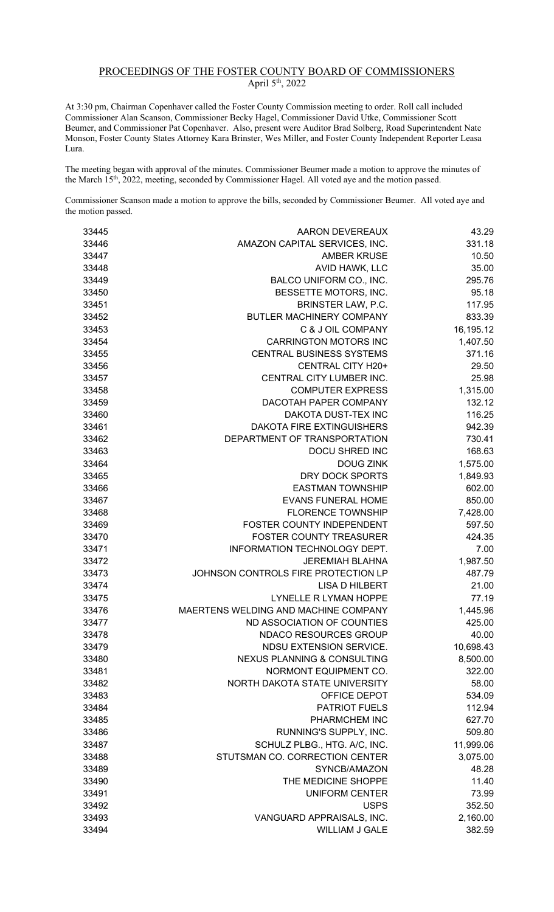## PROCEEDINGS OF THE FOSTER COUNTY BOARD OF COMMISSIONERS April 5<sup>th</sup>, 2022

At 3:30 pm, Chairman Copenhaver called the Foster County Commission meeting to order. Roll call included Commissioner Alan Scanson, Commissioner Becky Hagel, Commissioner David Utke, Commissioner Scott Beumer, and Commissioner Pat Copenhaver. Also, present were Auditor Brad Solberg, Road Superintendent Nate Monson, Foster County States Attorney Kara Brinster, Wes Miller, and Foster County Independent Reporter Leasa Lura.

The meeting began with approval of the minutes. Commissioner Beumer made a motion to approve the minutes of the March 15<sup>th</sup>, 2022, meeting, seconded by Commissioner Hagel. All voted aye and the motion passed.

Commissioner Scanson made a motion to approve the bills, seconded by Commissioner Beumer. All voted aye and the motion passed.

| 33445 | AARON DEVEREAUX                        | 43.29     |
|-------|----------------------------------------|-----------|
| 33446 | AMAZON CAPITAL SERVICES, INC.          | 331.18    |
| 33447 | <b>AMBER KRUSE</b>                     | 10.50     |
| 33448 | AVID HAWK, LLC                         | 35.00     |
| 33449 | BALCO UNIFORM CO., INC.                | 295.76    |
| 33450 | BESSETTE MOTORS, INC.                  | 95.18     |
| 33451 | BRINSTER LAW, P.C.                     | 117.95    |
| 33452 | BUTLER MACHINERY COMPANY               | 833.39    |
| 33453 | C & J OIL COMPANY                      | 16,195.12 |
| 33454 | <b>CARRINGTON MOTORS INC</b>           | 1,407.50  |
| 33455 | <b>CENTRAL BUSINESS SYSTEMS</b>        | 371.16    |
| 33456 | CENTRAL CITY H20+                      | 29.50     |
| 33457 | CENTRAL CITY LUMBER INC.               | 25.98     |
| 33458 | <b>COMPUTER EXPRESS</b>                | 1,315.00  |
| 33459 | DACOTAH PAPER COMPANY                  | 132.12    |
| 33460 | DAKOTA DUST-TEX INC                    | 116.25    |
| 33461 | <b>DAKOTA FIRE EXTINGUISHERS</b>       | 942.39    |
| 33462 | DEPARTMENT OF TRANSPORTATION           | 730.41    |
| 33463 | DOCU SHRED INC                         | 168.63    |
| 33464 | <b>DOUG ZINK</b>                       | 1,575.00  |
| 33465 | DRY DOCK SPORTS                        | 1,849.93  |
| 33466 | <b>EASTMAN TOWNSHIP</b>                | 602.00    |
| 33467 | <b>EVANS FUNERAL HOME</b>              | 850.00    |
| 33468 | <b>FLORENCE TOWNSHIP</b>               | 7,428.00  |
| 33469 | FOSTER COUNTY INDEPENDENT              | 597.50    |
| 33470 | <b>FOSTER COUNTY TREASURER</b>         | 424.35    |
| 33471 | INFORMATION TECHNOLOGY DEPT.           | 7.00      |
| 33472 | <b>JEREMIAH BLAHNA</b>                 | 1,987.50  |
| 33473 | JOHNSON CONTROLS FIRE PROTECTION LP    | 487.79    |
| 33474 | <b>LISA D HILBERT</b>                  | 21.00     |
| 33475 | LYNELLE R LYMAN HOPPE                  | 77.19     |
| 33476 | MAERTENS WELDING AND MACHINE COMPANY   | 1,445.96  |
| 33477 | ND ASSOCIATION OF COUNTIES             | 425.00    |
| 33478 | NDACO RESOURCES GROUP                  | 40.00     |
| 33479 | NDSU EXTENSION SERVICE.                | 10,698.43 |
| 33480 | <b>NEXUS PLANNING &amp; CONSULTING</b> | 8,500.00  |
| 33481 | NORMONT EQUIPMENT CO.                  | 322.00    |
| 33482 | NORTH DAKOTA STATE UNIVERSITY          | 58.00     |
| 33483 | OFFICE DEPOT                           | 534.09    |
| 33484 | <b>PATRIOT FUELS</b>                   | 112.94    |
| 33485 | PHARMCHEM INC                          | 627.70    |
| 33486 | RUNNING'S SUPPLY, INC.                 | 509.80    |
| 33487 | SCHULZ PLBG., HTG. A/C, INC.           | 11,999.06 |
| 33488 | STUTSMAN CO. CORRECTION CENTER         | 3,075.00  |
| 33489 | SYNCB/AMAZON                           |           |
|       | THE MEDICINE SHOPPE                    | 48.28     |
| 33490 |                                        | 11.40     |
| 33491 | <b>UNIFORM CENTER</b>                  | 73.99     |
| 33492 | <b>USPS</b>                            | 352.50    |
| 33493 | VANGUARD APPRAISALS, INC.              | 2,160.00  |
| 33494 | WILLIAM J GALE                         | 382.59    |